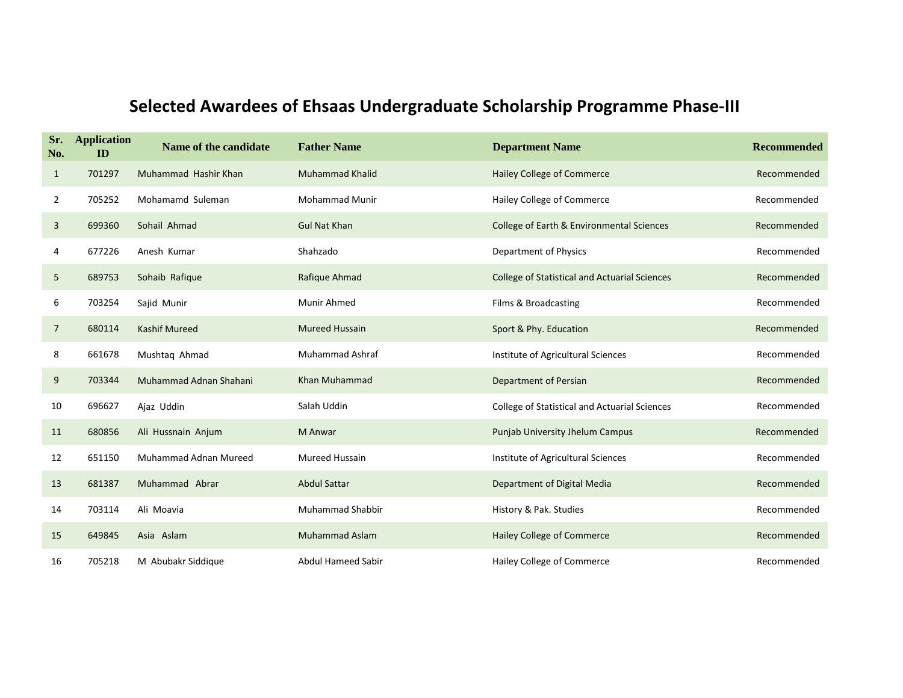| Sr.<br>No.     | <b>Application</b><br>ID | Name of the candidate        | <b>Father Name</b>        | <b>Department Name</b>                               | <b>Recommended</b> |
|----------------|--------------------------|------------------------------|---------------------------|------------------------------------------------------|--------------------|
| $\mathbf{1}$   | 701297                   | Muhammad Hashir Khan         | <b>Muhammad Khalid</b>    | Hailey College of Commerce                           | Recommended        |
| 2              | 705252                   | Mohamamd Suleman             | <b>Mohammad Munir</b>     | Hailey College of Commerce                           | Recommended        |
| 3              | 699360                   | Sohail Ahmad                 | <b>Gul Nat Khan</b>       | College of Earth & Environmental Sciences            | Recommended        |
| 4              | 677226                   | Anesh Kumar                  | Shahzado                  | Department of Physics                                | Recommended        |
| 5              | 689753                   | Sohaib Rafique               | Rafique Ahmad             | <b>College of Statistical and Actuarial Sciences</b> | Recommended        |
| 6              | 703254                   | Sajid Munir                  | Munir Ahmed               | Films & Broadcasting                                 | Recommended        |
| $\overline{7}$ | 680114                   | <b>Kashif Mureed</b>         | <b>Mureed Hussain</b>     | Sport & Phy. Education                               | Recommended        |
| 8              | 661678                   | Mushtaq Ahmad                | <b>Muhammad Ashraf</b>    | Institute of Agricultural Sciences                   | Recommended        |
| 9              | 703344                   | Muhammad Adnan Shahani       | Khan Muhammad             | <b>Department of Persian</b>                         | Recommended        |
| 10             | 696627                   | Ajaz Uddin                   | Salah Uddin               | <b>College of Statistical and Actuarial Sciences</b> | Recommended        |
| 11             | 680856                   | Ali Hussnain Anjum           | M Anwar                   | <b>Punjab University Jhelum Campus</b>               | Recommended        |
| 12             | 651150                   | <b>Muhammad Adnan Mureed</b> | Mureed Hussain            | Institute of Agricultural Sciences                   | Recommended        |
| 13             | 681387                   | Muhammad Abrar               | <b>Abdul Sattar</b>       | Department of Digital Media                          | Recommended        |
| 14             | 703114                   | Ali Moavia                   | <b>Muhammad Shabbir</b>   | History & Pak. Studies                               | Recommended        |
| 15             | 649845                   | Asia Aslam                   | <b>Muhammad Aslam</b>     | <b>Hailey College of Commerce</b>                    | Recommended        |
| 16             | 705218                   | M Abubakr Siddique           | <b>Abdul Hameed Sabir</b> | Hailey College of Commerce                           | Recommended        |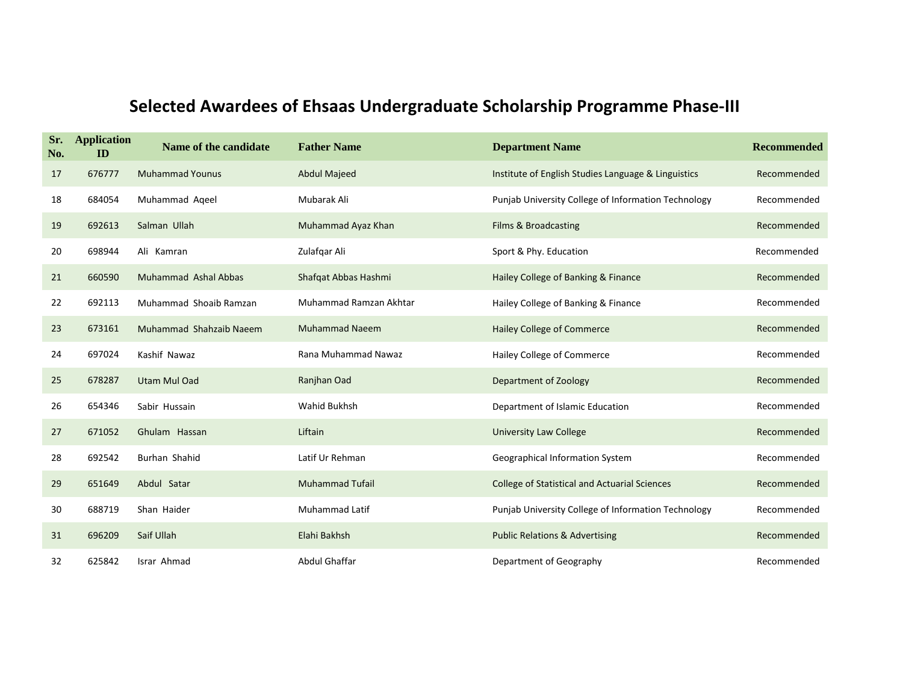| Sr.<br>No. | <b>Application</b><br>ID | Name of the candidate   | <b>Father Name</b>     | <b>Department Name</b>                               | <b>Recommended</b> |
|------------|--------------------------|-------------------------|------------------------|------------------------------------------------------|--------------------|
| 17         | 676777                   | <b>Muhammad Younus</b>  | <b>Abdul Majeed</b>    | Institute of English Studies Language & Linguistics  | Recommended        |
| 18         | 684054                   | Muhammad Aqeel          | Mubarak Ali            | Punjab University College of Information Technology  | Recommended        |
| 19         | 692613                   | Salman Ullah            | Muhammad Ayaz Khan     | <b>Films &amp; Broadcasting</b>                      | Recommended        |
| 20         | 698944                   | Ali Kamran              | Zulafgar Ali           | Sport & Phy. Education                               | Recommended        |
| 21         | 660590                   | Muhammad Ashal Abbas    | Shafqat Abbas Hashmi   | Hailey College of Banking & Finance                  | Recommended        |
| 22         | 692113                   | Muhammad Shoaib Ramzan  | Muhammad Ramzan Akhtar | Hailey College of Banking & Finance                  | Recommended        |
| 23         | 673161                   | Muhammad Shahzaib Naeem | <b>Muhammad Naeem</b>  | Hailey College of Commerce                           | Recommended        |
| 24         | 697024                   | Kashif Nawaz            | Rana Muhammad Nawaz    | Hailey College of Commerce                           | Recommended        |
| 25         | 678287                   | Utam Mul Oad            | Ranjhan Oad            | Department of Zoology                                | Recommended        |
| 26         | 654346                   | Sabir Hussain           | <b>Wahid Bukhsh</b>    | Department of Islamic Education                      | Recommended        |
| 27         | 671052                   | Ghulam Hassan           | Liftain                | <b>University Law College</b>                        | Recommended        |
| 28         | 692542                   | Burhan Shahid           | Latif Ur Rehman        | Geographical Information System                      | Recommended        |
| 29         | 651649                   | Abdul Satar             | <b>Muhammad Tufail</b> | <b>College of Statistical and Actuarial Sciences</b> | Recommended        |
| 30         | 688719                   | Shan Haider             | <b>Muhammad Latif</b>  | Punjab University College of Information Technology  | Recommended        |
| 31         | 696209                   | Saif Ullah              | Elahi Bakhsh           | <b>Public Relations &amp; Advertising</b>            | Recommended        |
| 32         | 625842                   | Israr Ahmad             | Abdul Ghaffar          | Department of Geography                              | Recommended        |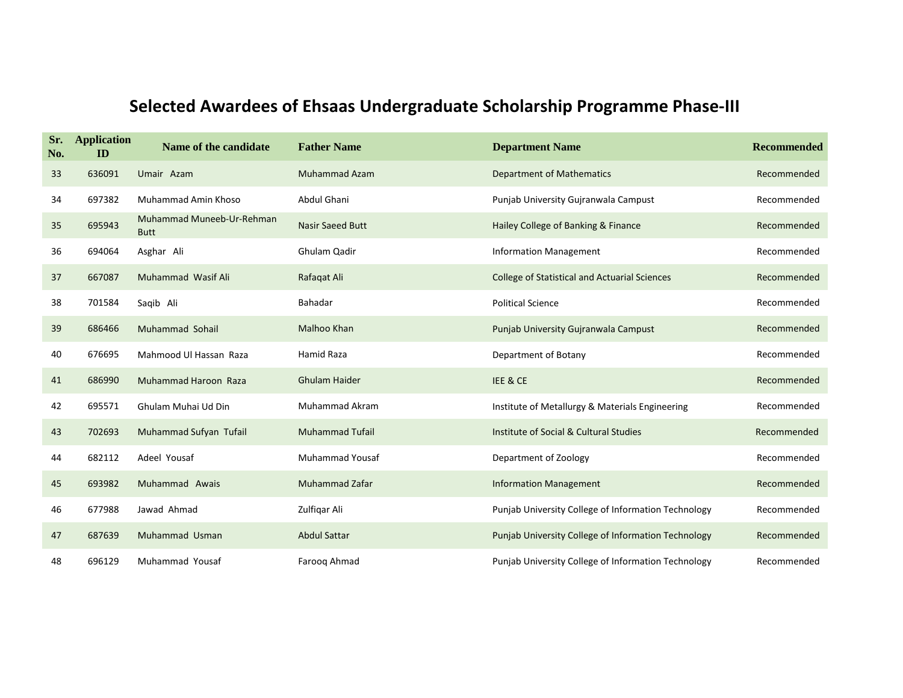| Sr.<br>No. | <b>Application</b><br>ID | Name of the candidate                    | <b>Father Name</b>      | <b>Department Name</b>                               | <b>Recommended</b> |
|------------|--------------------------|------------------------------------------|-------------------------|------------------------------------------------------|--------------------|
| 33         | 636091                   | Umair Azam                               | <b>Muhammad Azam</b>    | <b>Department of Mathematics</b>                     | Recommended        |
| 34         | 697382                   | Muhammad Amin Khoso                      | Abdul Ghani             | Punjab University Gujranwala Campust                 | Recommended        |
| 35         | 695943                   | Muhammad Muneeb-Ur-Rehman<br><b>Butt</b> | <b>Nasir Saeed Butt</b> | Hailey College of Banking & Finance                  | Recommended        |
| 36         | 694064                   | Asghar Ali                               | Ghulam Qadir            | <b>Information Management</b>                        | Recommended        |
| 37         | 667087                   | Muhammad Wasif Ali                       | Rafaqat Ali             | <b>College of Statistical and Actuarial Sciences</b> | Recommended        |
| 38         | 701584                   | Saqib Ali                                | Bahadar                 | <b>Political Science</b>                             | Recommended        |
| 39         | 686466                   | Muhammad Sohail                          | Malhoo Khan             | Punjab University Gujranwala Campust                 | Recommended        |
| 40         | 676695                   | Mahmood Ul Hassan Raza                   | <b>Hamid Raza</b>       | Department of Botany                                 | Recommended        |
| 41         | 686990                   | Muhammad Haroon Raza                     | <b>Ghulam Haider</b>    | IEE & CE                                             | Recommended        |
| 42         | 695571                   | Ghulam Muhai Ud Din                      | <b>Muhammad Akram</b>   | Institute of Metallurgy & Materials Engineering      | Recommended        |
| 43         | 702693                   | Muhammad Sufyan Tufail                   | <b>Muhammad Tufail</b>  | Institute of Social & Cultural Studies               | Recommended        |
| 44         | 682112                   | Adeel Yousaf                             | <b>Muhammad Yousaf</b>  | Department of Zoology                                | Recommended        |
| 45         | 693982                   | Muhammad Awais                           | <b>Muhammad Zafar</b>   | <b>Information Management</b>                        | Recommended        |
| 46         | 677988                   | Jawad Ahmad                              | Zulfigar Ali            | Punjab University College of Information Technology  | Recommended        |
| 47         | 687639                   | Muhammad Usman                           | <b>Abdul Sattar</b>     | Punjab University College of Information Technology  | Recommended        |
| 48         | 696129                   | Muhammad Yousaf                          | Faroog Ahmad            | Punjab University College of Information Technology  | Recommended        |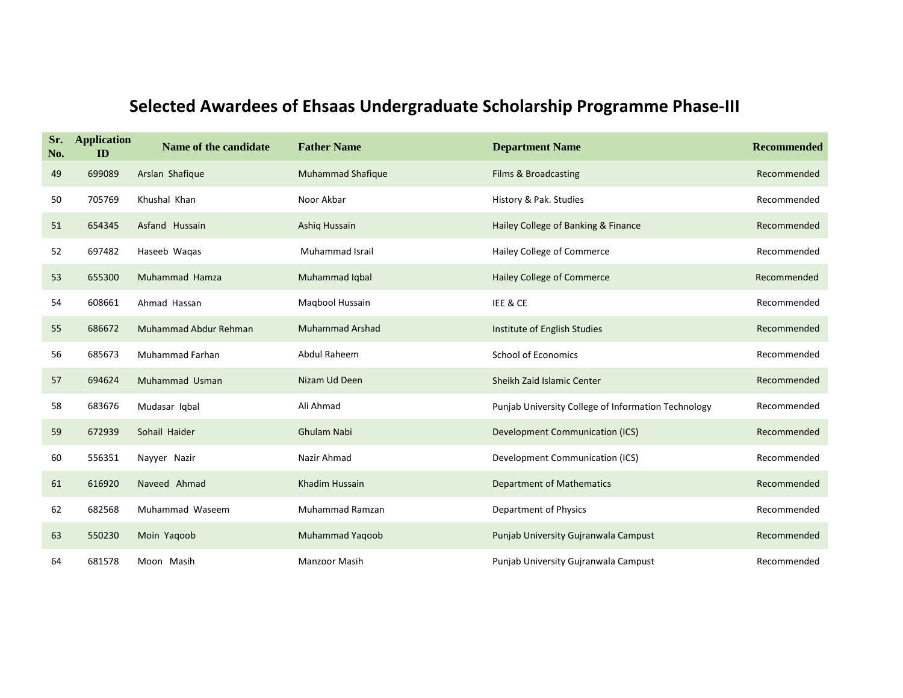| Sr.<br>No. | <b>Application</b><br>ID | Name of the candidate | <b>Father Name</b>       | <b>Department Name</b>                              | <b>Recommended</b> |
|------------|--------------------------|-----------------------|--------------------------|-----------------------------------------------------|--------------------|
| 49         | 699089                   | Arslan Shafique       | <b>Muhammad Shafique</b> | Films & Broadcasting                                | Recommended        |
| 50         | 705769                   | Khushal Khan          | Noor Akbar               | History & Pak. Studies                              | Recommended        |
| 51         | 654345                   | Asfand Hussain        | Ashiq Hussain            | Hailey College of Banking & Finance                 | Recommended        |
| 52         | 697482                   | Haseeb Wagas          | <b>Muhammad Israil</b>   | Hailey College of Commerce                          | Recommended        |
| 53         | 655300                   | Muhammad Hamza        | Muhammad Iqbal           | Hailey College of Commerce                          | Recommended        |
| 54         | 608661                   | Ahmad Hassan          | Magbool Hussain          | IEE & CE                                            | Recommended        |
| 55         | 686672                   | Muhammad Abdur Rehman | <b>Muhammad Arshad</b>   | Institute of English Studies                        | Recommended        |
| 56         | 685673                   | Muhammad Farhan       | Abdul Raheem             | <b>School of Economics</b>                          | Recommended        |
| 57         | 694624                   | Muhammad Usman        | Nizam Ud Deen            | Sheikh Zaid Islamic Center                          | Recommended        |
| 58         | 683676                   | Mudasar Iqbal         | Ali Ahmad                | Punjab University College of Information Technology | Recommended        |
| 59         | 672939                   | Sohail Haider         | Ghulam Nabi              | <b>Development Communication (ICS)</b>              | Recommended        |
| 60         | 556351                   | Nayyer Nazir          | Nazir Ahmad              | Development Communication (ICS)                     | Recommended        |
| 61         | 616920                   | Naveed Ahmad          | Khadim Hussain           | <b>Department of Mathematics</b>                    | Recommended        |
| 62         | 682568                   | Muhammad Waseem       | Muhammad Ramzan          | Department of Physics                               | Recommended        |
| 63         | 550230                   | Moin Yaqoob           | <b>Muhammad Yaqoob</b>   | Punjab University Gujranwala Campust                | Recommended        |
| 64         | 681578                   | Moon Masih            | <b>Manzoor Masih</b>     | Punjab University Gujranwala Campust                | Recommended        |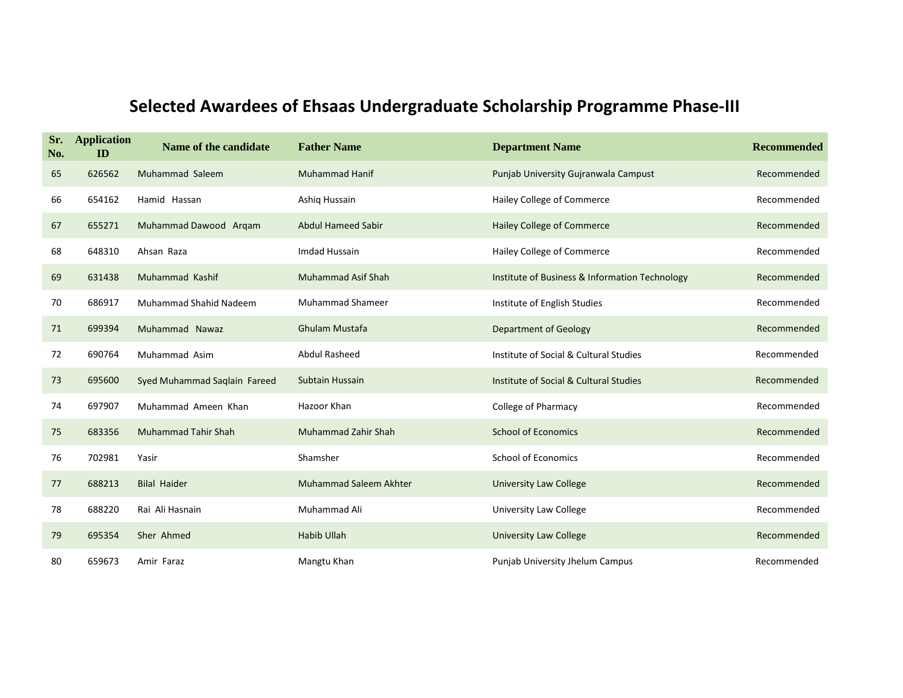| Sr.<br>No. | <b>Application</b><br>ID | Name of the candidate        | <b>Father Name</b>            | <b>Department Name</b>                         | <b>Recommended</b> |
|------------|--------------------------|------------------------------|-------------------------------|------------------------------------------------|--------------------|
| 65         | 626562                   | Muhammad Saleem              | <b>Muhammad Hanif</b>         | Punjab University Gujranwala Campust           | Recommended        |
| 66         | 654162                   | Hamid Hassan                 | Ashig Hussain                 | Hailey College of Commerce                     | Recommended        |
| 67         | 655271                   | Muhammad Dawood Arqam        | <b>Abdul Hameed Sabir</b>     | Hailey College of Commerce                     | Recommended        |
| 68         | 648310                   | Ahsan Raza                   | Imdad Hussain                 | Hailey College of Commerce                     | Recommended        |
| 69         | 631438                   | Muhammad Kashif              | Muhammad Asif Shah            | Institute of Business & Information Technology | Recommended        |
| 70         | 686917                   | Muhammad Shahid Nadeem       | <b>Muhammad Shameer</b>       | Institute of English Studies                   | Recommended        |
| 71         | 699394                   | Muhammad Nawaz               | <b>Ghulam Mustafa</b>         | <b>Department of Geology</b>                   | Recommended        |
| 72         | 690764                   | Muhammad Asim                | <b>Abdul Rasheed</b>          | Institute of Social & Cultural Studies         | Recommended        |
| 73         | 695600                   | Syed Muhammad Saqlain Fareed | Subtain Hussain               | Institute of Social & Cultural Studies         | Recommended        |
| 74         | 697907                   | Muhammad Ameen Khan          | Hazoor Khan                   | College of Pharmacy                            | Recommended        |
| 75         | 683356                   | <b>Muhammad Tahir Shah</b>   | Muhammad Zahir Shah           | <b>School of Economics</b>                     | Recommended        |
| 76         | 702981                   | Yasir                        | Shamsher                      | <b>School of Economics</b>                     | Recommended        |
| 77         | 688213                   | <b>Bilal Haider</b>          | <b>Muhammad Saleem Akhter</b> | <b>University Law College</b>                  | Recommended        |
| 78         | 688220                   | Rai Ali Hasnain              | Muhammad Ali                  | University Law College                         | Recommended        |
| 79         | 695354                   | Sher Ahmed                   | <b>Habib Ullah</b>            | <b>University Law College</b>                  | Recommended        |
| 80         | 659673                   | Amir Faraz                   | Mangtu Khan                   | Punjab University Jhelum Campus                | Recommended        |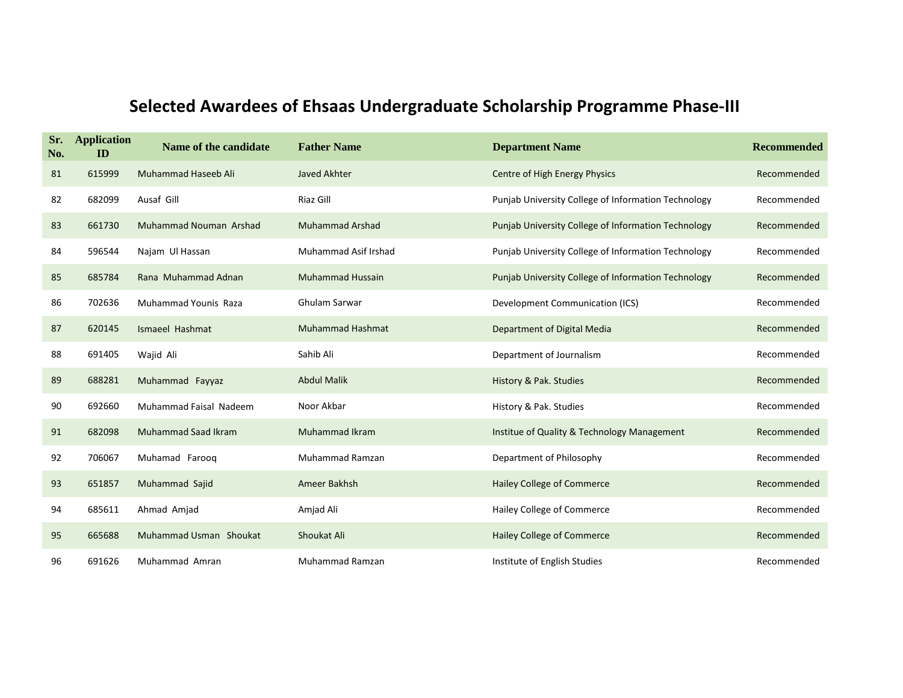| Sr.<br>No. | <b>Application</b><br>ID | Name of the candidate         | <b>Father Name</b>      | <b>Department Name</b>                              | <b>Recommended</b> |
|------------|--------------------------|-------------------------------|-------------------------|-----------------------------------------------------|--------------------|
| 81         | 615999                   | Muhammad Haseeb Ali           | Javed Akhter            | Centre of High Energy Physics                       | Recommended        |
| 82         | 682099                   | Ausaf Gill                    | Riaz Gill               | Punjab University College of Information Technology | Recommended        |
| 83         | 661730                   | <b>Muhammad Nouman Arshad</b> | <b>Muhammad Arshad</b>  | Punjab University College of Information Technology | Recommended        |
| 84         | 596544                   | Najam Ul Hassan               | Muhammad Asif Irshad    | Punjab University College of Information Technology | Recommended        |
| 85         | 685784                   | Rana Muhammad Adnan           | <b>Muhammad Hussain</b> | Punjab University College of Information Technology | Recommended        |
| 86         | 702636                   | Muhammad Younis Raza          | <b>Ghulam Sarwar</b>    | Development Communication (ICS)                     | Recommended        |
| 87         | 620145                   | Ismaeel Hashmat               | <b>Muhammad Hashmat</b> | Department of Digital Media                         | Recommended        |
| 88         | 691405                   | Wajid Ali                     | Sahib Ali               | Department of Journalism                            | Recommended        |
| 89         | 688281                   | Muhammad Fayyaz               | <b>Abdul Malik</b>      | History & Pak. Studies                              | Recommended        |
| 90         | 692660                   | Muhammad Faisal Nadeem        | Noor Akbar              | History & Pak. Studies                              | Recommended        |
| 91         | 682098                   | <b>Muhammad Saad Ikram</b>    | <b>Muhammad Ikram</b>   | Institue of Quality & Technology Management         | Recommended        |
| 92         | 706067                   | Muhamad Faroog                | Muhammad Ramzan         | Department of Philosophy                            | Recommended        |
| 93         | 651857                   | Muhammad Sajid                | Ameer Bakhsh            | <b>Hailey College of Commerce</b>                   | Recommended        |
| 94         | 685611                   | Ahmad Amjad                   | Amjad Ali               | Hailey College of Commerce                          | Recommended        |
| 95         | 665688                   | Muhammad Usman Shoukat        | Shoukat Ali             | Hailey College of Commerce                          | Recommended        |
| 96         | 691626                   | Muhammad Amran                | <b>Muhammad Ramzan</b>  | Institute of English Studies                        | Recommended        |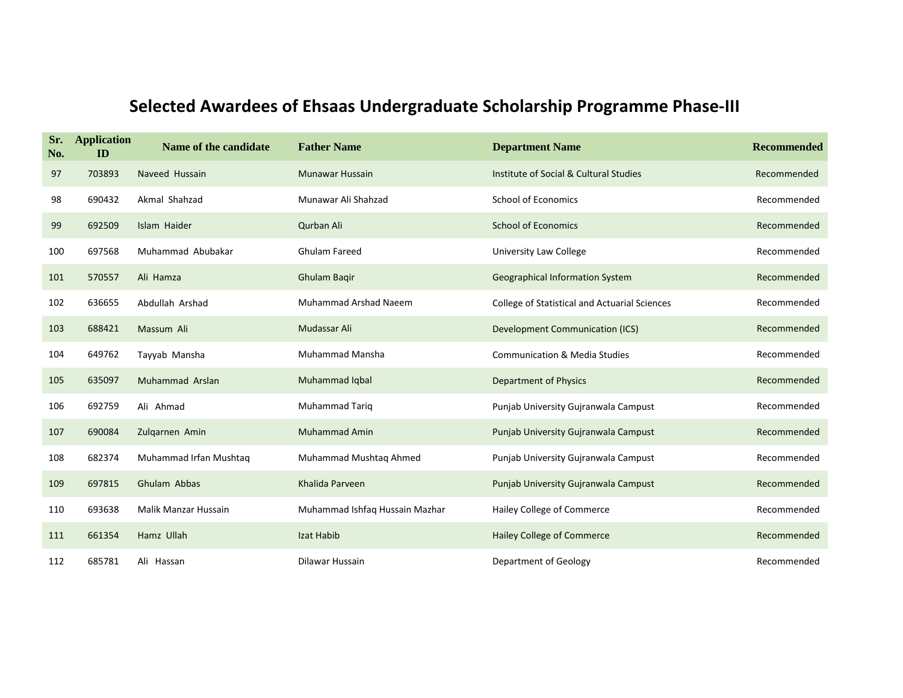| Sr.<br>No. | <b>Application</b><br>ID | Name of the candidate  | <b>Father Name</b>             | <b>Department Name</b>                               | <b>Recommended</b> |
|------------|--------------------------|------------------------|--------------------------------|------------------------------------------------------|--------------------|
| 97         | 703893                   | Naveed Hussain         | <b>Munawar Hussain</b>         | Institute of Social & Cultural Studies               | Recommended        |
| 98         | 690432                   | Akmal Shahzad          | Munawar Ali Shahzad            | <b>School of Economics</b>                           | Recommended        |
| 99         | 692509                   | Islam Haider           | Qurban Ali                     | <b>School of Economics</b>                           | Recommended        |
| 100        | 697568                   | Muhammad Abubakar      | <b>Ghulam Fareed</b>           | University Law College                               | Recommended        |
| 101        | 570557                   | Ali Hamza              | Ghulam Bagir                   | <b>Geographical Information System</b>               | Recommended        |
| 102        | 636655                   | Abdullah Arshad        | <b>Muhammad Arshad Naeem</b>   | <b>College of Statistical and Actuarial Sciences</b> | Recommended        |
| 103        | 688421                   | Massum Ali             | Mudassar Ali                   | <b>Development Communication (ICS)</b>               | Recommended        |
| 104        | 649762                   | Tayyab Mansha          | Muhammad Mansha                | <b>Communication &amp; Media Studies</b>             | Recommended        |
| 105        | 635097                   | Muhammad Arslan        | Muhammad Iqbal                 | <b>Department of Physics</b>                         | Recommended        |
| 106        | 692759                   | Ali Ahmad              | <b>Muhammad Tariq</b>          | Punjab University Gujranwala Campust                 | Recommended        |
| 107        | 690084                   | Zulgarnen Amin         | <b>Muhammad Amin</b>           | Punjab University Gujranwala Campust                 | Recommended        |
| 108        | 682374                   | Muhammad Irfan Mushtaq | Muhammad Mushtaq Ahmed         | Punjab University Gujranwala Campust                 | Recommended        |
| 109        | 697815                   | Ghulam Abbas           | Khalida Parveen                | Punjab University Gujranwala Campust                 | Recommended        |
| 110        | 693638                   | Malik Manzar Hussain   | Muhammad Ishfaq Hussain Mazhar | Hailey College of Commerce                           | Recommended        |
| 111        | 661354                   | Hamz Ullah             | Izat Habib                     | Hailey College of Commerce                           | Recommended        |
| 112        | 685781                   | Ali Hassan             | Dilawar Hussain                | Department of Geology                                | Recommended        |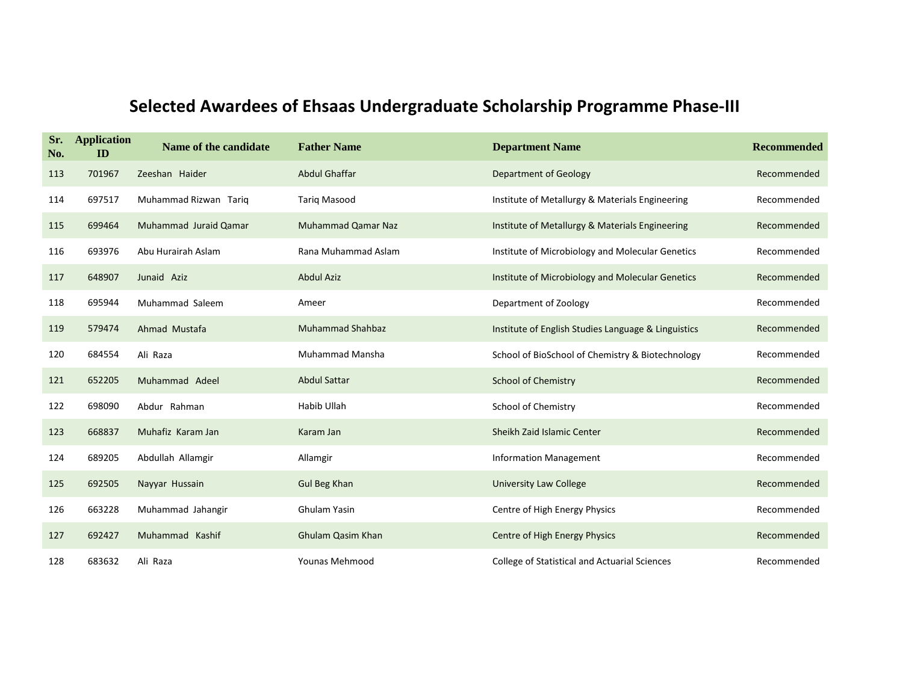| Sr.<br>No. | <b>Application</b><br>ID | Name of the candidate | <b>Father Name</b>        | <b>Department Name</b>                               | <b>Recommended</b> |
|------------|--------------------------|-----------------------|---------------------------|------------------------------------------------------|--------------------|
| 113        | 701967                   | Zeeshan Haider        | <b>Abdul Ghaffar</b>      | <b>Department of Geology</b>                         | Recommended        |
| 114        | 697517                   | Muhammad Rizwan Tarig | <b>Tarig Masood</b>       | Institute of Metallurgy & Materials Engineering      | Recommended        |
| 115        | 699464                   | Muhammad Juraid Qamar | <b>Muhammad Qamar Naz</b> | Institute of Metallurgy & Materials Engineering      | Recommended        |
| 116        | 693976                   | Abu Hurairah Aslam    | Rana Muhammad Aslam       | Institute of Microbiology and Molecular Genetics     | Recommended        |
| 117        | 648907                   | Junaid Aziz           | <b>Abdul Aziz</b>         | Institute of Microbiology and Molecular Genetics     | Recommended        |
| 118        | 695944                   | Muhammad Saleem       | Ameer                     | Department of Zoology                                | Recommended        |
| 119        | 579474                   | Ahmad Mustafa         | <b>Muhammad Shahbaz</b>   | Institute of English Studies Language & Linguistics  | Recommended        |
| 120        | 684554                   | Ali Raza              | <b>Muhammad Mansha</b>    | School of BioSchool of Chemistry & Biotechnology     | Recommended        |
| 121        | 652205                   | Muhammad Adeel        | <b>Abdul Sattar</b>       | <b>School of Chemistry</b>                           | Recommended        |
| 122        | 698090                   | Abdur Rahman          | Habib Ullah               | School of Chemistry                                  | Recommended        |
| 123        | 668837                   | Muhafiz Karam Jan     | Karam Jan                 | Sheikh Zaid Islamic Center                           | Recommended        |
| 124        | 689205                   | Abdullah Allamgir     | Allamgir                  | <b>Information Management</b>                        | Recommended        |
| 125        | 692505                   | Nayyar Hussain        | <b>Gul Beg Khan</b>       | <b>University Law College</b>                        | Recommended        |
| 126        | 663228                   | Muhammad Jahangir     | Ghulam Yasin              | Centre of High Energy Physics                        | Recommended        |
| 127        | 692427                   | Muhammad Kashif       | <b>Ghulam Qasim Khan</b>  | Centre of High Energy Physics                        | Recommended        |
| 128        | 683632                   | Ali Raza              | <b>Younas Mehmood</b>     | <b>College of Statistical and Actuarial Sciences</b> | Recommended        |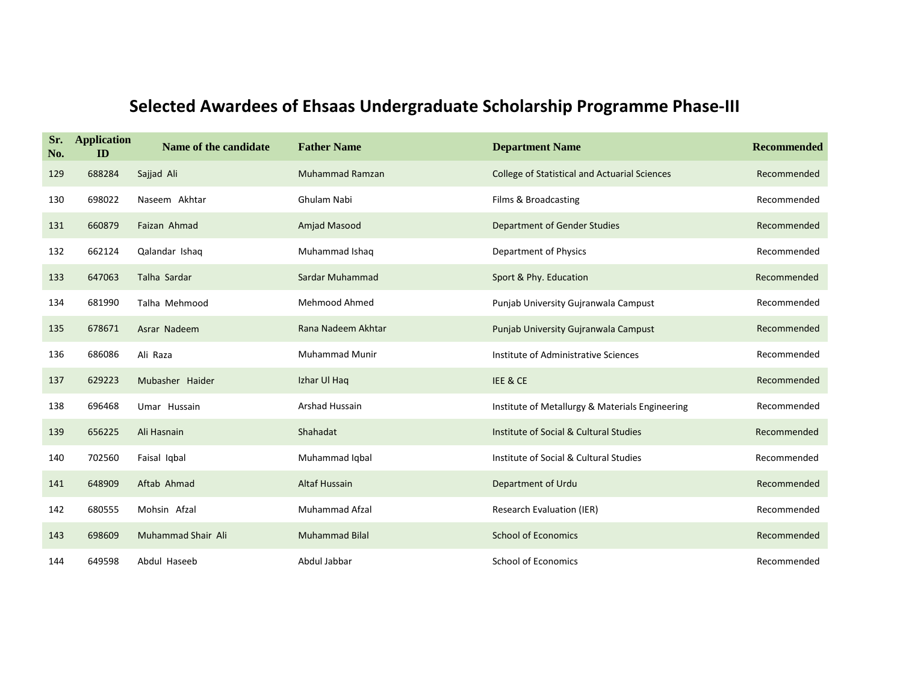| Sr.<br>No. | <b>Application</b><br>ID | Name of the candidate | <b>Father Name</b>    | <b>Department Name</b>                               | <b>Recommended</b> |
|------------|--------------------------|-----------------------|-----------------------|------------------------------------------------------|--------------------|
| 129        | 688284                   | Sajjad Ali            | Muhammad Ramzan       | <b>College of Statistical and Actuarial Sciences</b> | Recommended        |
| 130        | 698022                   | Naseem Akhtar         | Ghulam Nabi           | Films & Broadcasting                                 | Recommended        |
| 131        | 660879                   | Faizan Ahmad          | Amjad Masood          | <b>Department of Gender Studies</b>                  | Recommended        |
| 132        | 662124                   | Qalandar Ishaq        | Muhammad Ishaq        | Department of Physics                                | Recommended        |
| 133        | 647063                   | Talha Sardar          | Sardar Muhammad       | Sport & Phy. Education                               | Recommended        |
| 134        | 681990                   | Talha Mehmood         | Mehmood Ahmed         | Punjab University Gujranwala Campust                 | Recommended        |
| 135        | 678671                   | Asrar Nadeem          | Rana Nadeem Akhtar    | Punjab University Gujranwala Campust                 | Recommended        |
| 136        | 686086                   | Ali Raza              | <b>Muhammad Munir</b> | Institute of Administrative Sciences                 | Recommended        |
| 137        | 629223                   | Mubasher Haider       | Izhar Ul Haq          | IEE & CE                                             | Recommended        |
| 138        | 696468                   | Umar Hussain          | <b>Arshad Hussain</b> | Institute of Metallurgy & Materials Engineering      | Recommended        |
| 139        | 656225                   | Ali Hasnain           | Shahadat              | Institute of Social & Cultural Studies               | Recommended        |
| 140        | 702560                   | Faisal Igbal          | Muhammad Iqbal        | Institute of Social & Cultural Studies               | Recommended        |
| 141        | 648909                   | Aftab Ahmad           | <b>Altaf Hussain</b>  | Department of Urdu                                   | Recommended        |
| 142        | 680555                   | Mohsin Afzal          | Muhammad Afzal        | <b>Research Evaluation (IER)</b>                     | Recommended        |
| 143        | 698609                   | Muhammad Shair Ali    | <b>Muhammad Bilal</b> | <b>School of Economics</b>                           | Recommended        |
| 144        | 649598                   | Abdul Haseeb          | Abdul Jabbar          | <b>School of Economics</b>                           | Recommended        |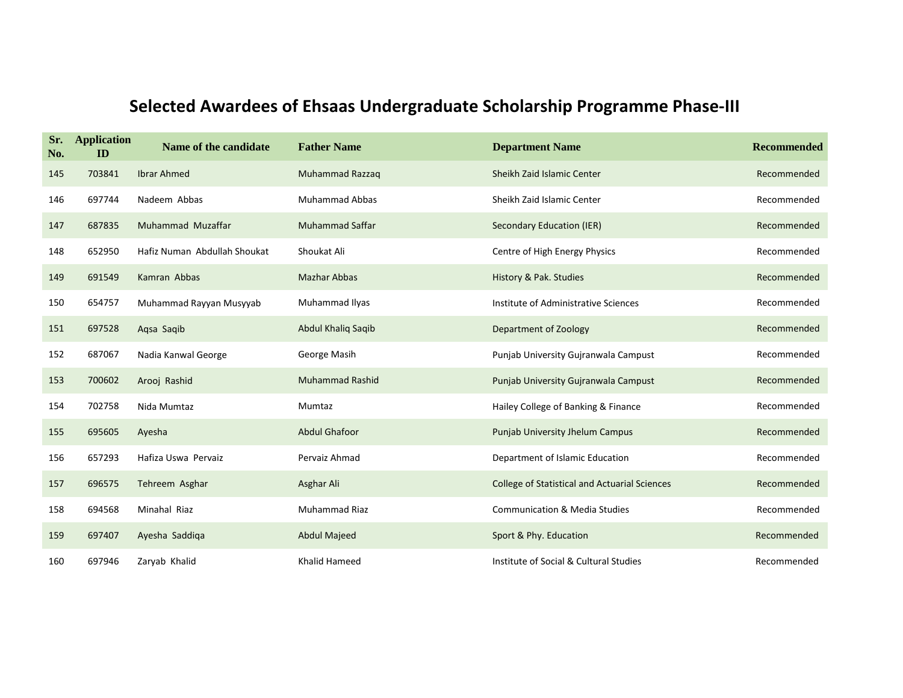| Sr.<br>No. | <b>Application</b><br>ID | Name of the candidate        | <b>Father Name</b>     | <b>Department Name</b>                               | <b>Recommended</b> |
|------------|--------------------------|------------------------------|------------------------|------------------------------------------------------|--------------------|
| 145        | 703841                   | <b>Ibrar Ahmed</b>           | Muhammad Razzaq        | Sheikh Zaid Islamic Center                           | Recommended        |
| 146        | 697744                   | Nadeem Abbas                 | <b>Muhammad Abbas</b>  | Sheikh Zaid Islamic Center                           | Recommended        |
| 147        | 687835                   | Muhammad Muzaffar            | <b>Muhammad Saffar</b> | Secondary Education (IER)                            | Recommended        |
| 148        | 652950                   | Hafiz Numan Abdullah Shoukat | Shoukat Ali            | Centre of High Energy Physics                        | Recommended        |
| 149        | 691549                   | Kamran Abbas                 | <b>Mazhar Abbas</b>    | History & Pak. Studies                               | Recommended        |
| 150        | 654757                   | Muhammad Rayyan Musyyab      | Muhammad Ilyas         | Institute of Administrative Sciences                 | Recommended        |
| 151        | 697528                   | Aqsa Saqib                   | Abdul Khaliq Saqib     | Department of Zoology                                | Recommended        |
| 152        | 687067                   | Nadia Kanwal George          | George Masih           | Punjab University Gujranwala Campust                 | Recommended        |
| 153        | 700602                   | Arooj Rashid                 | <b>Muhammad Rashid</b> | Punjab University Gujranwala Campust                 | Recommended        |
| 154        | 702758                   | Nida Mumtaz                  | Mumtaz                 | Hailey College of Banking & Finance                  | Recommended        |
| 155        | 695605                   | Ayesha                       | <b>Abdul Ghafoor</b>   | Punjab University Jhelum Campus                      | Recommended        |
| 156        | 657293                   | Hafiza Uswa Pervaiz          | Pervaiz Ahmad          | Department of Islamic Education                      | Recommended        |
| 157        | 696575                   | Tehreem Asghar               | Asghar Ali             | <b>College of Statistical and Actuarial Sciences</b> | Recommended        |
| 158        | 694568                   | Minahal Riaz                 | Muhammad Riaz          | <b>Communication &amp; Media Studies</b>             | Recommended        |
| 159        | 697407                   | Ayesha Saddiga               | <b>Abdul Majeed</b>    | Sport & Phy. Education                               | Recommended        |
| 160        | 697946                   | Zaryab Khalid                | Khalid Hameed          | Institute of Social & Cultural Studies               | Recommended        |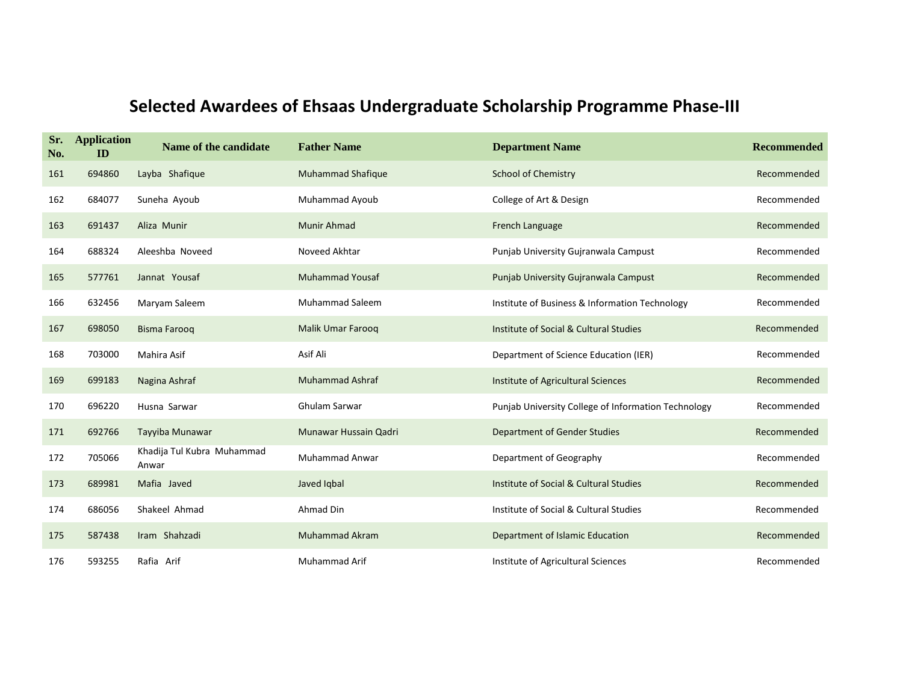| Sr.<br>No. | <b>Application</b><br>ID | Name of the candidate               | <b>Father Name</b>       | <b>Department Name</b>                              | <b>Recommended</b> |
|------------|--------------------------|-------------------------------------|--------------------------|-----------------------------------------------------|--------------------|
| 161        | 694860                   | Layba Shafique                      | <b>Muhammad Shafique</b> | <b>School of Chemistry</b>                          | Recommended        |
| 162        | 684077                   | Suneha Ayoub                        | Muhammad Ayoub           | College of Art & Design                             | Recommended        |
| 163        | 691437                   | Aliza Munir                         | Munir Ahmad              | French Language                                     | Recommended        |
| 164        | 688324                   | Aleeshba Noveed                     | Noveed Akhtar            | Punjab University Gujranwala Campust                | Recommended        |
| 165        | 577761                   | Jannat Yousaf                       | <b>Muhammad Yousaf</b>   | Punjab University Gujranwala Campust                | Recommended        |
| 166        | 632456                   | Maryam Saleem                       | Muhammad Saleem          | Institute of Business & Information Technology      | Recommended        |
| 167        | 698050                   | <b>Bisma Farooq</b>                 | Malik Umar Faroog        | Institute of Social & Cultural Studies              | Recommended        |
| 168        | 703000                   | Mahira Asif                         | Asif Ali                 | Department of Science Education (IER)               | Recommended        |
| 169        | 699183                   | Nagina Ashraf                       | <b>Muhammad Ashraf</b>   | Institute of Agricultural Sciences                  | Recommended        |
| 170        | 696220                   | Husna Sarwar                        | Ghulam Sarwar            | Punjab University College of Information Technology | Recommended        |
| 171        | 692766                   | Tayyiba Munawar                     | Munawar Hussain Qadri    | <b>Department of Gender Studies</b>                 | Recommended        |
| 172        | 705066                   | Khadija Tul Kubra Muhammad<br>Anwar | <b>Muhammad Anwar</b>    | Department of Geography                             | Recommended        |
| 173        | 689981                   | Mafia Javed                         | Javed Igbal              | Institute of Social & Cultural Studies              | Recommended        |
| 174        | 686056                   | Shakeel Ahmad                       | Ahmad Din                | Institute of Social & Cultural Studies              | Recommended        |
| 175        | 587438                   | Iram Shahzadi                       | <b>Muhammad Akram</b>    | Department of Islamic Education                     | Recommended        |
| 176        | 593255                   | Rafia Arif                          | <b>Muhammad Arif</b>     | Institute of Agricultural Sciences                  | Recommended        |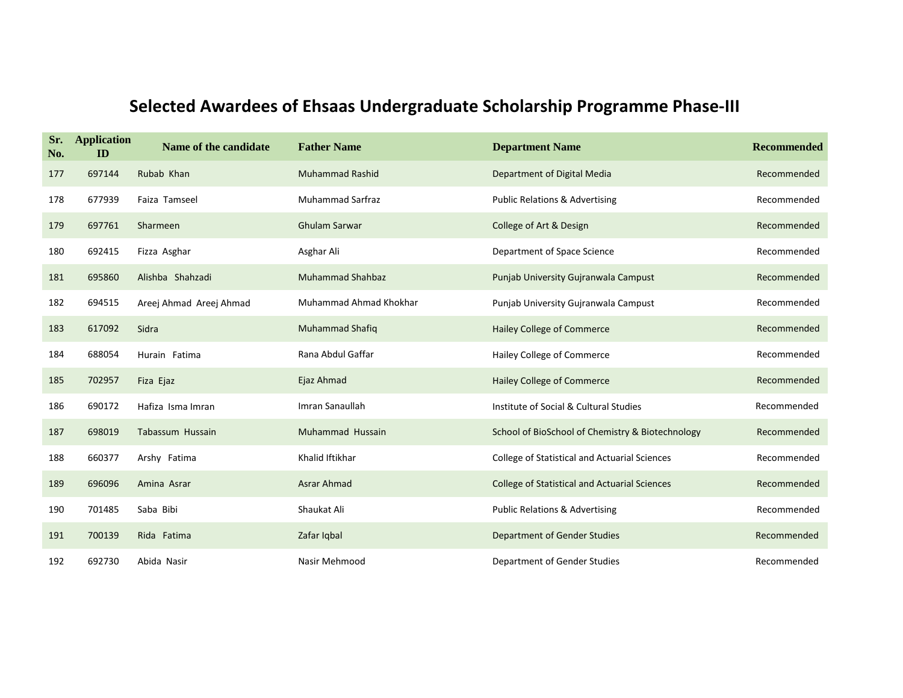| Sr.<br>No. | <b>Application</b><br>ID | Name of the candidate   | <b>Father Name</b>      | <b>Department Name</b>                               | <b>Recommended</b> |
|------------|--------------------------|-------------------------|-------------------------|------------------------------------------------------|--------------------|
| 177        | 697144                   | Rubab Khan              | <b>Muhammad Rashid</b>  | Department of Digital Media                          | Recommended        |
| 178        | 677939                   | Faiza Tamseel           | <b>Muhammad Sarfraz</b> | <b>Public Relations &amp; Advertising</b>            | Recommended        |
| 179        | 697761                   | Sharmeen                | <b>Ghulam Sarwar</b>    | College of Art & Design                              | Recommended        |
| 180        | 692415                   | Fizza Asghar            | Asghar Ali              | Department of Space Science                          | Recommended        |
| 181        | 695860                   | Alishba Shahzadi        | <b>Muhammad Shahbaz</b> | Punjab University Gujranwala Campust                 | Recommended        |
| 182        | 694515                   | Areej Ahmad Areej Ahmad | Muhammad Ahmad Khokhar  | Punjab University Gujranwala Campust                 | Recommended        |
| 183        | 617092                   | Sidra                   | <b>Muhammad Shafiq</b>  | Hailey College of Commerce                           | Recommended        |
| 184        | 688054                   | Hurain Fatima           | Rana Abdul Gaffar       | Hailey College of Commerce                           | Recommended        |
| 185        | 702957                   | Fiza Ejaz               | Ejaz Ahmad              | <b>Hailey College of Commerce</b>                    | Recommended        |
| 186        | 690172                   | Hafiza Isma Imran       | Imran Sanaullah         | Institute of Social & Cultural Studies               | Recommended        |
| 187        | 698019                   | Tabassum Hussain        | Muhammad Hussain        | School of BioSchool of Chemistry & Biotechnology     | Recommended        |
| 188        | 660377                   | Arshy Fatima            | Khalid Iftikhar         | <b>College of Statistical and Actuarial Sciences</b> | Recommended        |
| 189        | 696096                   | Amina Asrar             | <b>Asrar Ahmad</b>      | <b>College of Statistical and Actuarial Sciences</b> | Recommended        |
| 190        | 701485                   | Saba Bibi               | Shaukat Ali             | <b>Public Relations &amp; Advertising</b>            | Recommended        |
| 191        | 700139                   | Rida Fatima             | Zafar Iqbal             | Department of Gender Studies                         | Recommended        |
| 192        | 692730                   | Abida Nasir             | Nasir Mehmood           | Department of Gender Studies                         | Recommended        |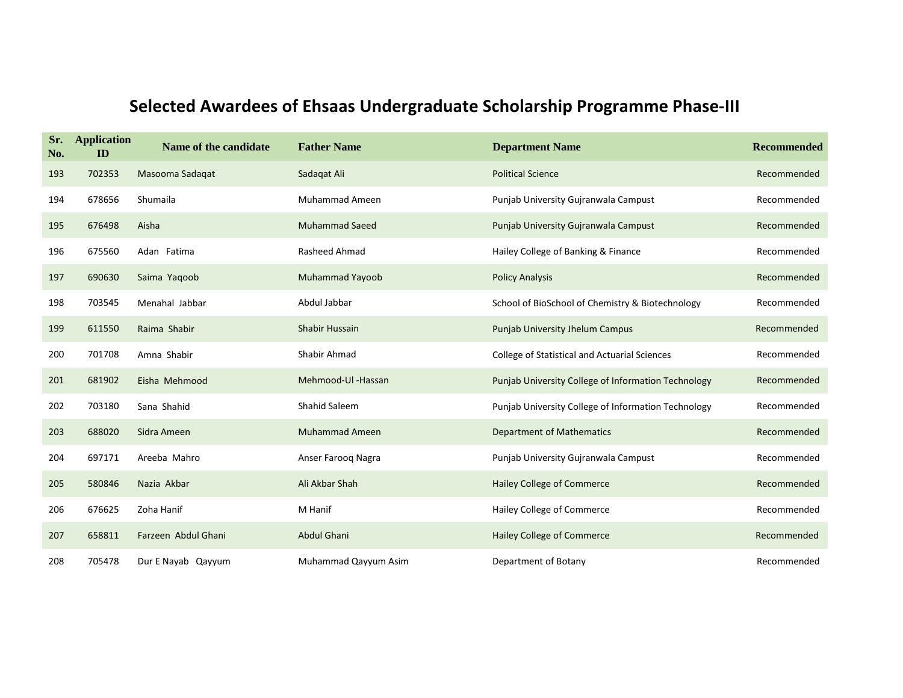| Sr.<br>No. | <b>Application</b><br>ID | Name of the candidate | <b>Father Name</b>    | <b>Department Name</b>                              | <b>Recommended</b> |
|------------|--------------------------|-----------------------|-----------------------|-----------------------------------------------------|--------------------|
| 193        | 702353                   | Masooma Sadagat       | Sadaqat Ali           | <b>Political Science</b>                            | Recommended        |
| 194        | 678656                   | Shumaila              | <b>Muhammad Ameen</b> | Punjab University Gujranwala Campust                | Recommended        |
| 195        | 676498                   | Aisha                 | <b>Muhammad Saeed</b> | Punjab University Gujranwala Campust                | Recommended        |
| 196        | 675560                   | Adan Fatima           | Rasheed Ahmad         | Hailey College of Banking & Finance                 | Recommended        |
| 197        | 690630                   | Saima Yaqoob          | Muhammad Yayoob       | <b>Policy Analysis</b>                              | Recommended        |
| 198        | 703545                   | Menahal Jabbar        | Abdul Jabbar          | School of BioSchool of Chemistry & Biotechnology    | Recommended        |
| 199        | 611550                   | Raima Shabir          | <b>Shabir Hussain</b> | <b>Punjab University Jhelum Campus</b>              | Recommended        |
| 200        | 701708                   | Amna Shabir           | Shabir Ahmad          | College of Statistical and Actuarial Sciences       | Recommended        |
| 201        | 681902                   | Eisha Mehmood         | Mehmood-Ul -Hassan    | Punjab University College of Information Technology | Recommended        |
| 202        | 703180                   | Sana Shahid           | Shahid Saleem         | Punjab University College of Information Technology | Recommended        |
| 203        | 688020                   | Sidra Ameen           | <b>Muhammad Ameen</b> | <b>Department of Mathematics</b>                    | Recommended        |
| 204        | 697171                   | Areeba Mahro          | Anser Faroog Nagra    | Punjab University Gujranwala Campust                | Recommended        |
| 205        | 580846                   | Nazia Akbar           | Ali Akbar Shah        | <b>Hailey College of Commerce</b>                   | Recommended        |
| 206        | 676625                   | Zoha Hanif            | M Hanif               | Hailey College of Commerce                          | Recommended        |
| 207        | 658811                   | Farzeen Abdul Ghani   | Abdul Ghani           | Hailey College of Commerce                          | Recommended        |
| 208        | 705478                   | Dur E Nayab Qayyum    | Muhammad Qayyum Asim  | Department of Botany                                | Recommended        |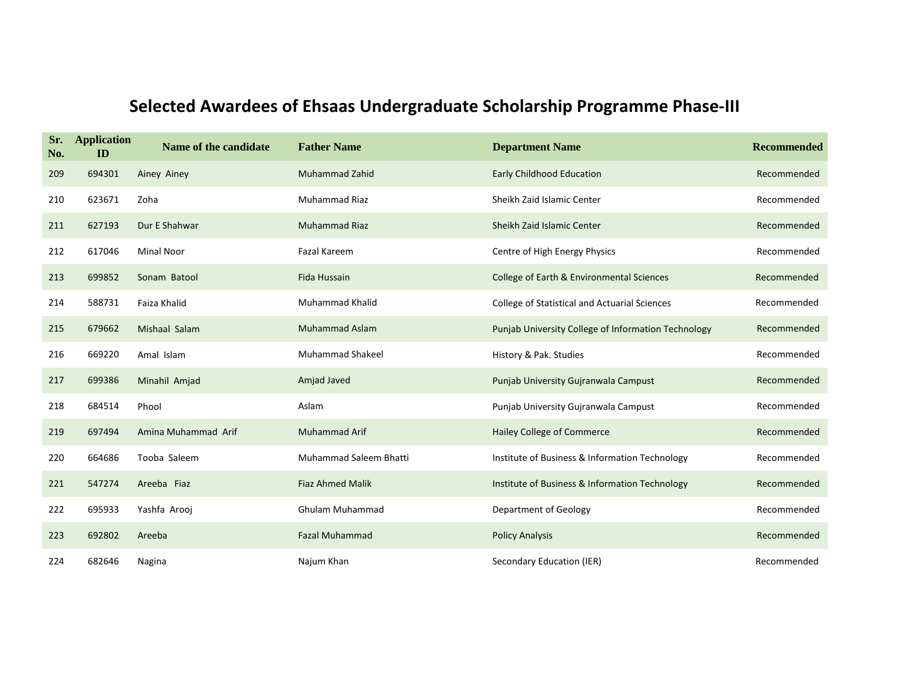| Sr.<br>No. | <b>Application</b><br>ID | Name of the candidate | <b>Father Name</b>            | <b>Department Name</b>                               | <b>Recommended</b> |
|------------|--------------------------|-----------------------|-------------------------------|------------------------------------------------------|--------------------|
| 209        | 694301                   | Ainey Ainey           | <b>Muhammad Zahid</b>         | <b>Early Childhood Education</b>                     | Recommended        |
| 210        | 623671                   | Zoha                  | <b>Muhammad Riaz</b>          | Sheikh Zaid Islamic Center                           | Recommended        |
| 211        | 627193                   | Dur E Shahwar         | <b>Muhammad Riaz</b>          | Sheikh Zaid Islamic Center                           | Recommended        |
| 212        | 617046                   | <b>Minal Noor</b>     | <b>Fazal Kareem</b>           | Centre of High Energy Physics                        | Recommended        |
| 213        | 699852                   | Sonam Batool          | Fida Hussain                  | College of Earth & Environmental Sciences            | Recommended        |
| 214        | 588731                   | Faiza Khalid          | Muhammad Khalid               | <b>College of Statistical and Actuarial Sciences</b> | Recommended        |
| 215        | 679662                   | Mishaal Salam         | <b>Muhammad Aslam</b>         | Punjab University College of Information Technology  | Recommended        |
| 216        | 669220                   | Amal Islam            | <b>Muhammad Shakeel</b>       | History & Pak. Studies                               | Recommended        |
| 217        | 699386                   | Minahil Amjad         | Amjad Javed                   | Punjab University Gujranwala Campust                 | Recommended        |
| 218        | 684514                   | Phool                 | Aslam                         | Punjab University Gujranwala Campust                 | Recommended        |
| 219        | 697494                   | Amina Muhammad Arif   | <b>Muhammad Arif</b>          | <b>Hailey College of Commerce</b>                    | Recommended        |
| 220        | 664686                   | Tooba Saleem          | <b>Muhammad Saleem Bhatti</b> | Institute of Business & Information Technology       | Recommended        |
| 221        | 547274                   | Areeba Fiaz           | <b>Fiaz Ahmed Malik</b>       | Institute of Business & Information Technology       | Recommended        |
| 222        | 695933                   | Yashfa Arooj          | Ghulam Muhammad               | Department of Geology                                | Recommended        |
| 223        | 692802                   | Areeba                | <b>Fazal Muhammad</b>         | <b>Policy Analysis</b>                               | Recommended        |
| 224        | 682646                   | Nagina                | Najum Khan                    | Secondary Education (IER)                            | Recommended        |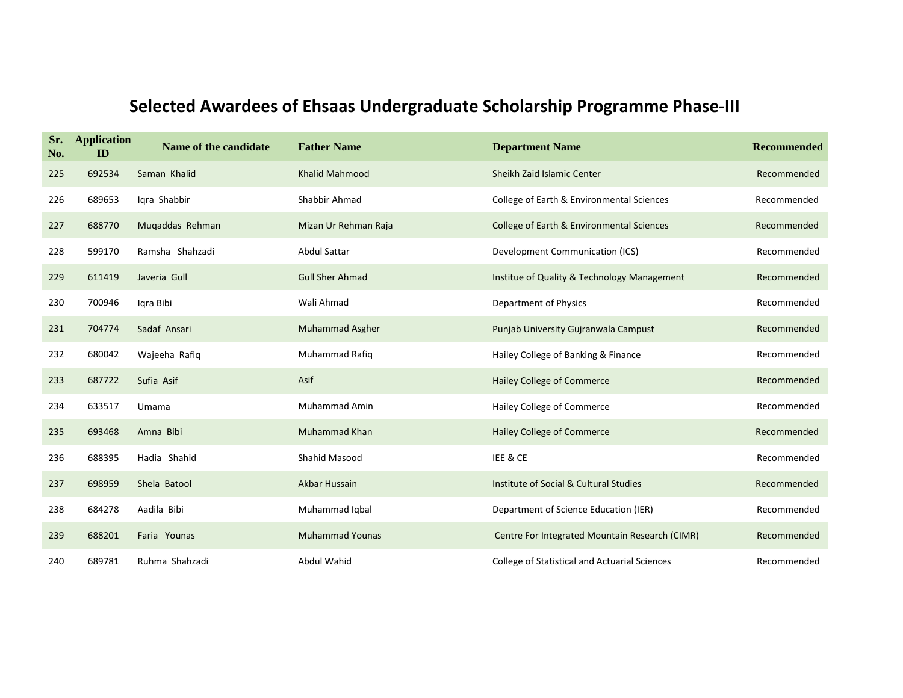| Sr.<br>No. | <b>Application</b><br>ID | Name of the candidate | <b>Father Name</b>     | <b>Department Name</b>                         | <b>Recommended</b> |
|------------|--------------------------|-----------------------|------------------------|------------------------------------------------|--------------------|
| 225        | 692534                   | Saman Khalid          | <b>Khalid Mahmood</b>  | Sheikh Zaid Islamic Center                     | Recommended        |
| 226        | 689653                   | Igra Shabbir          | Shabbir Ahmad          | College of Earth & Environmental Sciences      | Recommended        |
| 227        | 688770                   | Muqaddas Rehman       | Mizan Ur Rehman Raja   | College of Earth & Environmental Sciences      | Recommended        |
| 228        | 599170                   | Ramsha Shahzadi       | <b>Abdul Sattar</b>    | Development Communication (ICS)                | Recommended        |
| 229        | 611419                   | Javeria Gull          | <b>Gull Sher Ahmad</b> | Institue of Quality & Technology Management    | Recommended        |
| 230        | 700946                   | Igra Bibi             | Wali Ahmad             | Department of Physics                          | Recommended        |
| 231        | 704774                   | Sadaf Ansari          | Muhammad Asgher        | Punjab University Gujranwala Campust           | Recommended        |
| 232        | 680042                   | Wajeeha Rafiq         | Muhammad Rafiq         | Hailey College of Banking & Finance            | Recommended        |
| 233        | 687722                   | Sufia Asif            | Asif                   | <b>Hailey College of Commerce</b>              | Recommended        |
| 234        | 633517                   | Umama                 | <b>Muhammad Amin</b>   | Hailey College of Commerce                     | Recommended        |
| 235        | 693468                   | Amna Bibi             | <b>Muhammad Khan</b>   | <b>Hailey College of Commerce</b>              | Recommended        |
| 236        | 688395                   | Hadia Shahid          | <b>Shahid Masood</b>   | IEE & CE                                       | Recommended        |
| 237        | 698959                   | Shela Batool          | Akbar Hussain          | Institute of Social & Cultural Studies         | Recommended        |
| 238        | 684278                   | Aadila Bibi           | Muhammad Iqbal         | Department of Science Education (IER)          | Recommended        |
| 239        | 688201                   | Faria Younas          | <b>Muhammad Younas</b> | Centre For Integrated Mountain Research (CIMR) | Recommended        |
| 240        | 689781                   | Ruhma Shahzadi        | <b>Abdul Wahid</b>     | College of Statistical and Actuarial Sciences  | Recommended        |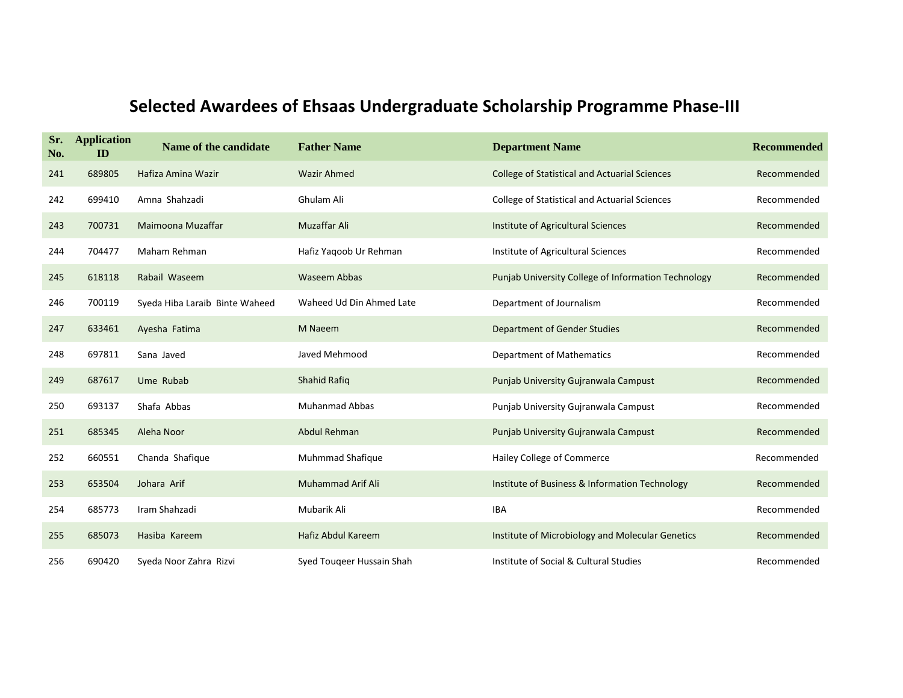| Sr.<br>No. | <b>Application</b><br>ID | Name of the candidate          | <b>Father Name</b>        | <b>Department Name</b>                               | <b>Recommended</b> |
|------------|--------------------------|--------------------------------|---------------------------|------------------------------------------------------|--------------------|
| 241        | 689805                   | Hafiza Amina Wazir             | <b>Wazir Ahmed</b>        | <b>College of Statistical and Actuarial Sciences</b> | Recommended        |
| 242        | 699410                   | Amna Shahzadi                  | Ghulam Ali                | College of Statistical and Actuarial Sciences        | Recommended        |
| 243        | 700731                   | Maimoona Muzaffar              | <b>Muzaffar Ali</b>       | Institute of Agricultural Sciences                   | Recommended        |
| 244        | 704477                   | Maham Rehman                   | Hafiz Yaqoob Ur Rehman    | Institute of Agricultural Sciences                   | Recommended        |
| 245        | 618118                   | Rabail Waseem                  | <b>Waseem Abbas</b>       | Punjab University College of Information Technology  | Recommended        |
| 246        | 700119                   | Syeda Hiba Laraib Binte Waheed | Waheed Ud Din Ahmed Late  | Department of Journalism                             | Recommended        |
| 247        | 633461                   | Ayesha Fatima                  | M Naeem                   | Department of Gender Studies                         | Recommended        |
| 248        | 697811                   | Sana Javed                     | Javed Mehmood             | <b>Department of Mathematics</b>                     | Recommended        |
| 249        | 687617                   | Ume Rubab                      | <b>Shahid Rafig</b>       | Punjab University Gujranwala Campust                 | Recommended        |
| 250        | 693137                   | Shafa Abbas                    | <b>Muhanmad Abbas</b>     | Punjab University Gujranwala Campust                 | Recommended        |
| 251        | 685345                   | Aleha Noor                     | Abdul Rehman              | Punjab University Gujranwala Campust                 | Recommended        |
| 252        | 660551                   | Chanda Shafique                | Muhmmad Shafique          | Hailey College of Commerce                           | Recommended        |
| 253        | 653504                   | Johara Arif                    | <b>Muhammad Arif Ali</b>  | Institute of Business & Information Technology       | Recommended        |
| 254        | 685773                   | Iram Shahzadi                  | Mubarik Ali               | <b>IBA</b>                                           | Recommended        |
| 255        | 685073                   | Hasiba Kareem                  | Hafiz Abdul Kareem        | Institute of Microbiology and Molecular Genetics     | Recommended        |
| 256        | 690420                   | Syeda Noor Zahra Rizvi         | Syed Touqeer Hussain Shah | Institute of Social & Cultural Studies               | Recommended        |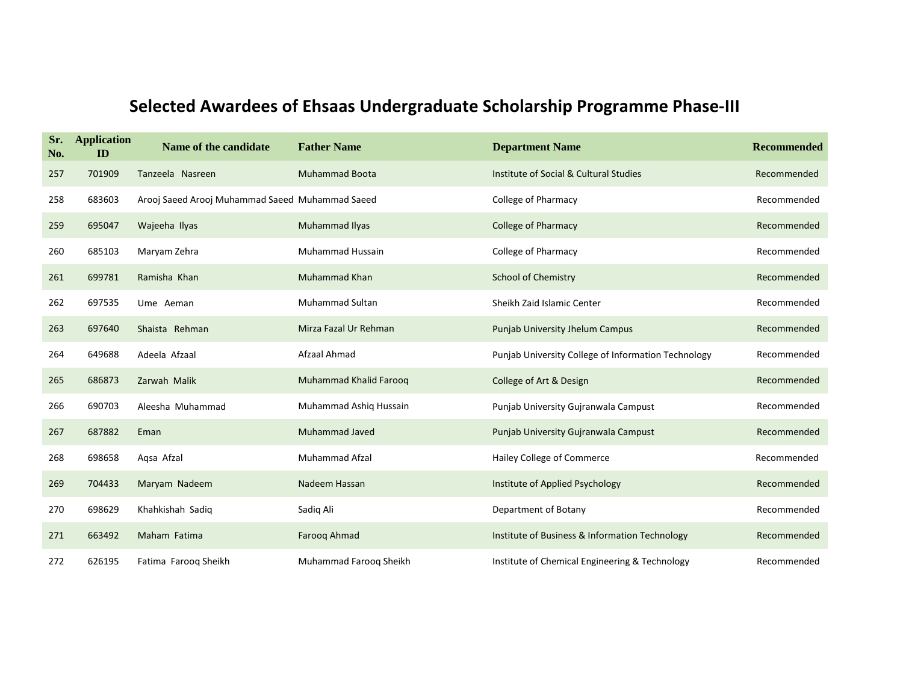| Sr.<br>No. | <b>Application</b><br>ID | Name of the candidate                           | <b>Father Name</b>      | <b>Department Name</b>                              | <b>Recommended</b> |
|------------|--------------------------|-------------------------------------------------|-------------------------|-----------------------------------------------------|--------------------|
| 257        | 701909                   | Tanzeela Nasreen                                | <b>Muhammad Boota</b>   | Institute of Social & Cultural Studies              | Recommended        |
| 258        | 683603                   | Arooj Saeed Arooj Muhammad Saeed Muhammad Saeed |                         | <b>College of Pharmacy</b>                          | Recommended        |
| 259        | 695047                   | Wajeeha Ilyas                                   | Muhammad Ilyas          | <b>College of Pharmacy</b>                          | Recommended        |
| 260        | 685103                   | Maryam Zehra                                    | <b>Muhammad Hussain</b> | <b>College of Pharmacy</b>                          | Recommended        |
| 261        | 699781                   | Ramisha Khan                                    | <b>Muhammad Khan</b>    | <b>School of Chemistry</b>                          | Recommended        |
| 262        | 697535                   | Ume Aeman                                       | <b>Muhammad Sultan</b>  | Sheikh Zaid Islamic Center                          | Recommended        |
| 263        | 697640                   | Shaista Rehman                                  | Mirza Fazal Ur Rehman   | Punjab University Jhelum Campus                     | Recommended        |
| 264        | 649688                   | Adeela Afzaal                                   | Afzaal Ahmad            | Punjab University College of Information Technology | Recommended        |
| 265        | 686873                   | Zarwah Malik                                    | Muhammad Khalid Farooq  | College of Art & Design                             | Recommended        |
| 266        | 690703                   | Aleesha Muhammad                                | Muhammad Ashiq Hussain  | Punjab University Gujranwala Campust                | Recommended        |
| 267        | 687882                   | Eman                                            | <b>Muhammad Javed</b>   | Punjab University Gujranwala Campust                | Recommended        |
| 268        | 698658                   | Agsa Afzal                                      | <b>Muhammad Afzal</b>   | Hailey College of Commerce                          | Recommended        |
| 269        | 704433                   | Maryam Nadeem                                   | Nadeem Hassan           | Institute of Applied Psychology                     | Recommended        |
| 270        | 698629                   | Khahkishah Sadiq                                | Sadiq Ali               | Department of Botany                                | Recommended        |
| 271        | 663492                   | Maham Fatima                                    | Farooq Ahmad            | Institute of Business & Information Technology      | Recommended        |
| 272        | 626195                   | Fatima Faroog Sheikh                            | Muhammad Faroog Sheikh  | Institute of Chemical Engineering & Technology      | Recommended        |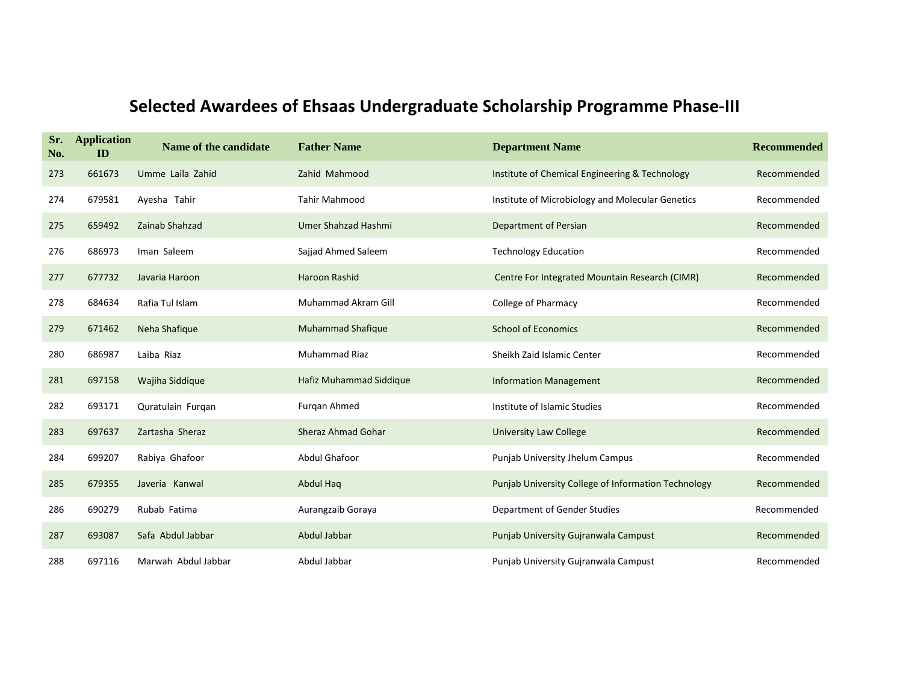| Sr.<br>No. | <b>Application</b><br>ID | Name of the candidate | <b>Father Name</b>        | <b>Department Name</b>                              | <b>Recommended</b> |
|------------|--------------------------|-----------------------|---------------------------|-----------------------------------------------------|--------------------|
| 273        | 661673                   | Umme Laila Zahid      | Zahid Mahmood             | Institute of Chemical Engineering & Technology      | Recommended        |
| 274        | 679581                   | Ayesha Tahir          | Tahir Mahmood             | Institute of Microbiology and Molecular Genetics    | Recommended        |
| 275        | 659492                   | Zainab Shahzad        | Umer Shahzad Hashmi       | Department of Persian                               | Recommended        |
| 276        | 686973                   | Iman Saleem           | Sajjad Ahmed Saleem       | <b>Technology Education</b>                         | Recommended        |
| 277        | 677732                   | Javaria Haroon        | Haroon Rashid             | Centre For Integrated Mountain Research (CIMR)      | Recommended        |
| 278        | 684634                   | Rafia Tul Islam       | Muhammad Akram Gill       | College of Pharmacy                                 | Recommended        |
| 279        | 671462                   | Neha Shafique         | <b>Muhammad Shafique</b>  | <b>School of Economics</b>                          | Recommended        |
| 280        | 686987                   | Laiba Riaz            | <b>Muhammad Riaz</b>      | Sheikh Zaid Islamic Center                          | Recommended        |
| 281        | 697158                   | Wajiha Siddique       | Hafiz Muhammad Siddique   | <b>Information Management</b>                       | Recommended        |
| 282        | 693171                   | Quratulain Furgan     | Furgan Ahmed              | Institute of Islamic Studies                        | Recommended        |
| 283        | 697637                   | Zartasha Sheraz       | <b>Sheraz Ahmad Gohar</b> | University Law College                              | Recommended        |
| 284        | 699207                   | Rabiya Ghafoor        | <b>Abdul Ghafoor</b>      | Punjab University Jhelum Campus                     | Recommended        |
| 285        | 679355                   | Javeria Kanwal        | <b>Abdul Haq</b>          | Punjab University College of Information Technology | Recommended        |
| 286        | 690279                   | Rubab Fatima          | Aurangzaib Goraya         | Department of Gender Studies                        | Recommended        |
| 287        | 693087                   | Safa Abdul Jabbar     | Abdul Jabbar              | Punjab University Gujranwala Campust                | Recommended        |
| 288        | 697116                   | Marwah Abdul Jabbar   | Abdul Jabbar              | Punjab University Gujranwala Campust                | Recommended        |